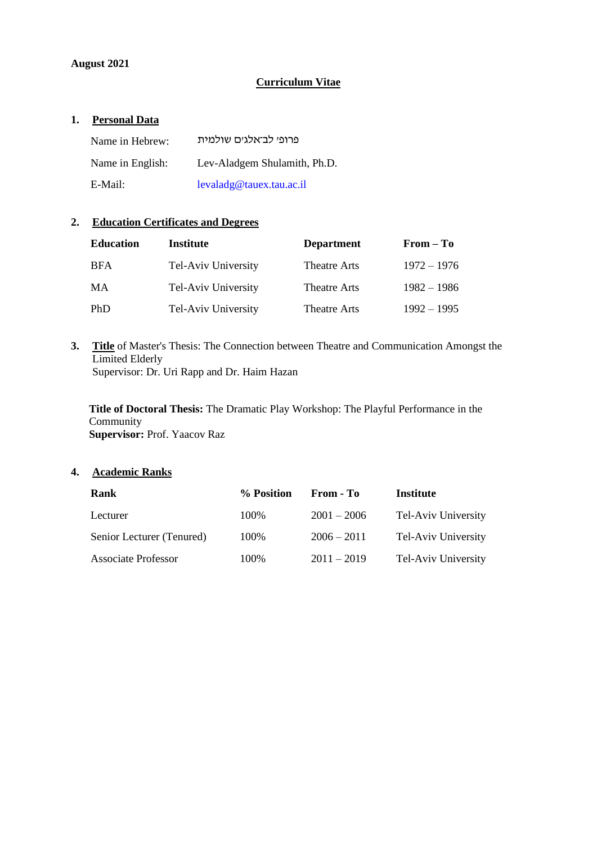## **Curriculum Vitae**

### **1. Personal Data**

| Name in Hebrew:  | פרופי לב־אלגים שולמית        |
|------------------|------------------------------|
| Name in English: | Lev-Aladgem Shulamith, Ph.D. |
| E-Mail:          | levaladg@tauex.tau.ac.il     |

### **2. Education Certificates and Degrees**

| <b>Education</b> | Institute           | <b>Department</b> | $From - To$   |
|------------------|---------------------|-------------------|---------------|
| <b>BFA</b>       | Tel-Aviv University | Theatre Arts      | $1972 - 1976$ |
| MA               | Tel-Aviv University | Theatre Arts      | $1982 - 1986$ |
| PhD              | Tel-Aviv University | Theatre Arts      | $1992 - 1995$ |

**3. Title** of Master's Thesis: The Connection between Theatre and Communication Amongst the Limited Elderly Supervisor: Dr. Uri Rapp and Dr. Haim Hazan

**Title of Doctoral Thesis:** The Dramatic Play Workshop: The Playful Performance in the Community **Supervisor:** Prof. Yaacov Raz

### **4. Academic Ranks**

| <b>Rank</b>                | % Position | From - To     | Institute           |
|----------------------------|------------|---------------|---------------------|
| Lecturer                   | 100\%      | $2001 - 2006$ | Tel-Aviv University |
| Senior Lecturer (Tenured)  | 100%       | $2006 - 2011$ | Tel-Aviv University |
| <b>Associate Professor</b> | 100\%      | $2011 - 2019$ | Tel-Aviv University |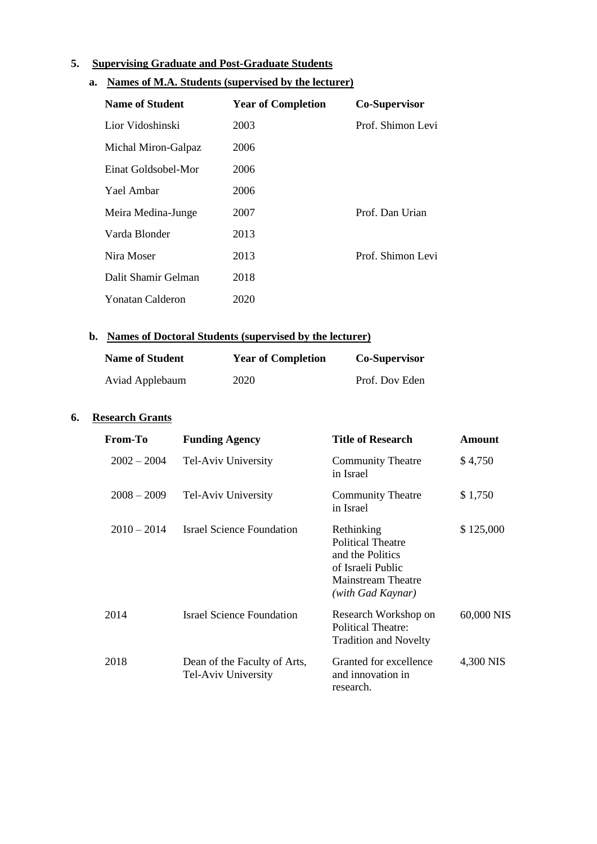## **5. Supervising Graduate and Post-Graduate Students**

# **a. Names of M.A. Students (supervised by the lecturer)**

| <b>Name of Student</b> | <b>Year of Completion</b> | Co-Supervisor     |
|------------------------|---------------------------|-------------------|
| Lior Vidoshinski       | 2003                      | Prof. Shimon Levi |
| Michal Miron-Galpaz    | 2006                      |                   |
| Einat Goldsobel-Mor    | 2006                      |                   |
| Yael Ambar             | 2006                      |                   |
| Meira Medina-Junge     | 2007                      | Prof. Dan Urian   |
| Varda Blonder          | 2013                      |                   |
| Nira Moser             | 2013                      | Prof. Shimon Levi |
| Dalit Shamir Gelman    | 2018                      |                   |
| Yonatan Calderon       | 2020                      |                   |

# **b. Names of Doctoral Students (supervised by the lecturer)**

| <b>Name of Student</b> | <b>Year of Completion</b> | Co-Supervisor  |
|------------------------|---------------------------|----------------|
| Aviad Applebaum        | 2020                      | Prof. Dov Eden |

# **6. Research Grants**

| From-To       | <b>Funding Agency</b>                               | <b>Title of Research</b>                                                                                                   | Amount     |
|---------------|-----------------------------------------------------|----------------------------------------------------------------------------------------------------------------------------|------------|
| $2002 - 2004$ | Tel-Aviv University                                 | <b>Community Theatre</b><br>in Israel                                                                                      | \$4,750    |
| $2008 - 2009$ | Tel-Aviv University                                 | <b>Community Theatre</b><br>in Israel                                                                                      | \$1,750    |
| $2010 - 2014$ | <b>Israel Science Foundation</b>                    | Rethinking<br><b>Political Theatre</b><br>and the Politics<br>of Israeli Public<br>Mainstream Theatre<br>(with Gad Kaynar) | \$125,000  |
| 2014          | <b>Israel Science Foundation</b>                    | Research Workshop on<br><b>Political Theatre:</b><br><b>Tradition and Novelty</b>                                          | 60,000 NIS |
| 2018          | Dean of the Faculty of Arts,<br>Tel-Aviv University | Granted for excellence<br>and innovation in<br>research.                                                                   | 4,300 NIS  |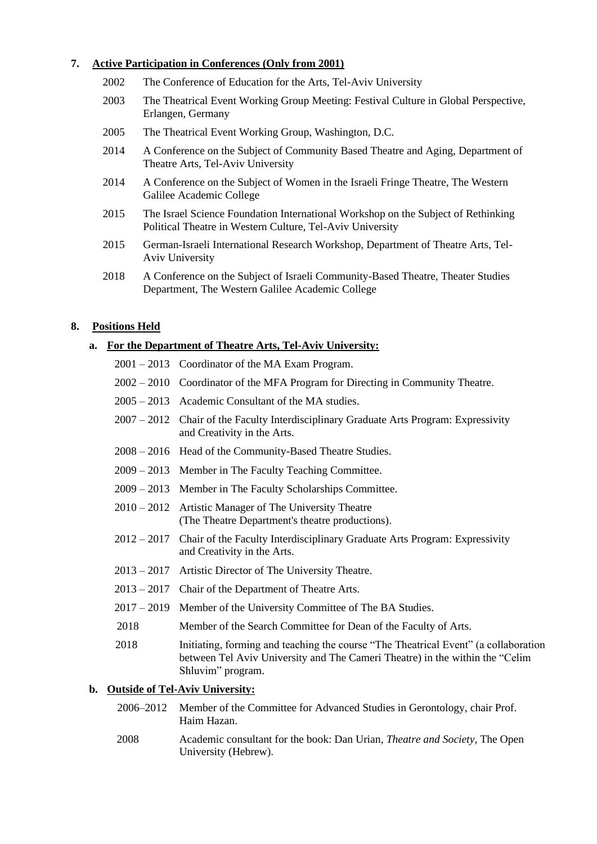## **7. Active Participation in Conferences (Only from 2001)**

- 2002 The Conference of Education for the Arts, Tel-Aviv University
- 2003 The Theatrical Event Working Group Meeting: Festival Culture in Global Perspective, Erlangen, Germany
- 2005 The Theatrical Event Working Group, Washington, D.C.
- 2014 A Conference on the Subject of Community Based Theatre and Aging, Department of Theatre Arts, Tel-Aviv University
- 2014 A Conference on the Subject of Women in the Israeli Fringe Theatre, The Western Galilee Academic College
- 2015 The Israel Science Foundation International Workshop on the Subject of Rethinking Political Theatre in Western Culture, Tel-Aviv University
- 2015 German-Israeli International Research Workshop, Department of Theatre Arts, Tel-Aviv University
- 2018 A Conference on the Subject of Israeli Community-Based Theatre, Theater Studies Department, The Western Galilee Academic College

### **8. Positions Held**

### **a. For the Department of Theatre Arts, Tel-Aviv University:**

- 2001 2013 Coordinator of the MA Exam Program.
- 2002 2010 Coordinator of the MFA Program for Directing in Community Theatre.
- 2005 2013 Academic Consultant of the MA studies.
- 2007 2012 Chair of the Faculty Interdisciplinary Graduate Arts Program: Expressivity and Creativity in the Arts.
- 2008 2016 Head of the Community-Based Theatre Studies.
- 2009 2013 Member in The Faculty Teaching Committee.
- 2009 2013 Member in The Faculty Scholarships Committee.
- 2010 2012 Artistic Manager of The University Theatre (The Theatre Department's theatre productions).
- 2012 2017 Chair of the Faculty Interdisciplinary Graduate Arts Program: Expressivity and Creativity in the Arts.
- 2013 2017 Artistic Director of The University Theatre.
- 2013 2017 Chair of the Department of Theatre Arts.
- 2017 2019 Member of the University Committee of The BA Studies.
- 2018 Member of the Search Committee for Dean of the Faculty of Arts.
- 2018 Initiating, forming and teaching the course "The Theatrical Event" (a collaboration between Tel Aviv University and The Cameri Theatre) in the within the "Celim Shluvim" program.

## **b. Outside of Tel-Aviv University:**

- 2006–2012 Member of the Committee for Advanced Studies in Gerontology, chair Prof. Haim Hazan.
- 2008 Academic consultant for the book: Dan Urian, *Theatre and Society*, The Open University (Hebrew).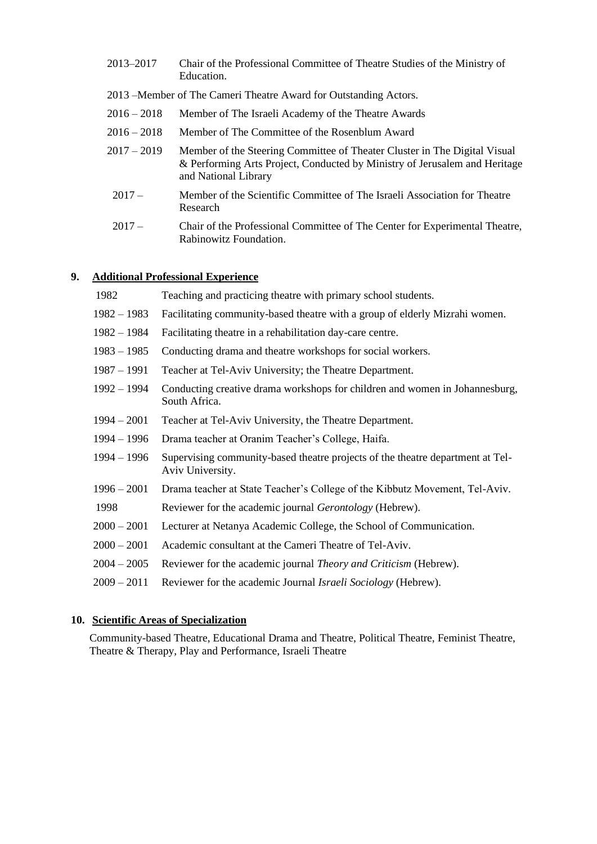| 2013–2017     | Chair of the Professional Committee of Theatre Studies of the Ministry of<br>Education.                                                                                         |
|---------------|---------------------------------------------------------------------------------------------------------------------------------------------------------------------------------|
|               | 2013 – Member of The Cameri Theatre Award for Outstanding Actors.                                                                                                               |
| $2016 - 2018$ | Member of The Israeli Academy of the Theatre Awards                                                                                                                             |
| $2016 - 2018$ | Member of The Committee of the Rosenblum Award                                                                                                                                  |
| $2017 - 2019$ | Member of the Steering Committee of Theater Cluster in The Digital Visual<br>& Performing Arts Project, Conducted by Ministry of Jerusalem and Heritage<br>and National Library |
| $2017-$       | Member of the Scientific Committee of The Israeli Association for Theatre<br>Research                                                                                           |
| $2017 -$      | Chair of the Professional Committee of The Center for Experimental Theatre,<br>Rabinowitz Foundation.                                                                           |

### **9. Additional Professional Experience**

| 1982          | Teaching and practicing theatre with primary school students.                                      |
|---------------|----------------------------------------------------------------------------------------------------|
| $1982 - 1983$ | Facilitating community-based theatre with a group of elderly Mizrahi women.                        |
| $1982 - 1984$ | Facilitating theatre in a rehabilitation day-care centre.                                          |
| $1983 - 1985$ | Conducting drama and theatre workshops for social workers.                                         |
| $1987 - 1991$ | Teacher at Tel-Aviv University; the Theatre Department.                                            |
| $1992 - 1994$ | Conducting creative drama workshops for children and women in Johannesburg,<br>South Africa.       |
| $1994 - 2001$ | Teacher at Tel-Aviv University, the Theatre Department.                                            |
| $1994 - 1996$ | Drama teacher at Oranim Teacher's College, Haifa.                                                  |
| $1994 - 1996$ | Supervising community-based theatre projects of the theatre department at Tel-<br>Aviv University. |
| $1996 - 2001$ | Drama teacher at State Teacher's College of the Kibbutz Movement, Tel-Aviv.                        |
| 1998          | Reviewer for the academic journal <i>Gerontology</i> (Hebrew).                                     |
| $2000 - 2001$ | Lecturer at Netanya Academic College, the School of Communication.                                 |
| $2000 - 2001$ | Academic consultant at the Cameri Theatre of Tel-Aviv.                                             |
| $2004 - 2005$ | Reviewer for the academic journal <i>Theory and Criticism</i> (Hebrew).                            |
| $2009 - 2011$ | Reviewer for the academic Journal <i>Israeli Sociology</i> (Hebrew).                               |

## **10. Scientific Areas of Specialization**

Community-based Theatre, Educational Drama and Theatre, Political Theatre, Feminist Theatre, Theatre & Therapy, Play and Performance, Israeli Theatre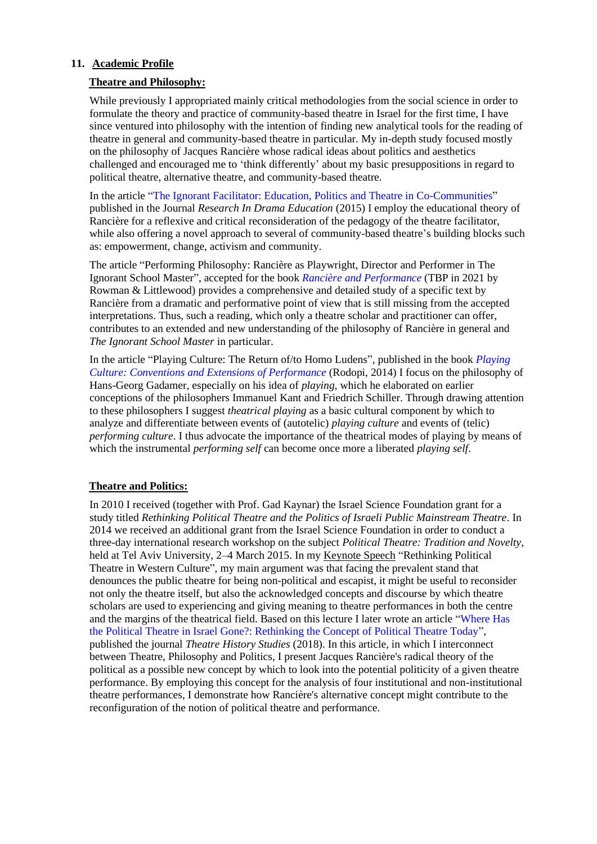## **11. Academic Profile**

## **Theatre and Philosophy:**

While previously I appropriated mainly critical methodologies from the social science in order to formulate the theory and practice of community-based theatre in Israel for the first time, I have since ventured into philosophy with the intention of finding new analytical tools for the reading of theatre in general and community-based theatre in particular. My in-depth study focused mostly on the philosophy of Jacques Rancière whose radical ideas about politics and aesthetics challenged and encouraged me to 'think differently' about my basic presuppositions in regard to political theatre, alternative theatre, and community-based theatre.

In the article ["The Ignorant Facilitator: Education, Politics and Theatre in Co-Communities"](https://doi.org/10.1080/13569783.2015.1068108) published in the Journal *Research In Drama Education* (2015) I employ the educational theory of Rancière for a reflexive and critical reconsideration of the pedagogy of the theatre facilitator, while also offering a novel approach to several of community-based theatre's building blocks such as: empowerment, change, activism and community.

The article "Performing Philosophy: Rancière as Playwright, Director and Performer in The Ignorant School Master", accepted for the book *[Rancière and Performance](https://rowman.com/ISBN/9781538146576/)* (TBP in 2021 by Rowman & Littlewood) provides a comprehensive and detailed study of a specific text by Rancière from a dramatic and performative point of view that is still missing from the accepted interpretations. Thus, such a reading, which only a theatre scholar and practitioner can offer, contributes to an extended and new understanding of the philosophy of Rancière in general and *The Ignorant School Master* in particular.

In the article "Playing Culture: The Return of/to Homo Ludens", published in the book *[Playing](https://brill.com/view/title/31041)  Culture: [Conventions and Extensions of Performance](https://brill.com/view/title/31041)* (Rodopi, 2014) I focus on the philosophy of Hans-Georg Gadamer, especially on his idea of *playing*, which he elaborated on earlier conceptions of the philosophers Immanuel Kant and Friedrich Schiller. Through drawing attention to these philosophers I suggest *theatrical playing* as a basic cultural component by which to analyze and differentiate between events of (autotelic) *playing culture* and events of (telic) *performing culture*. I thus advocate the importance of the theatrical modes of playing by means of which the instrumental *performing self* can become once more a liberated *playing self*.

## **Theatre and Politics:**

In 2010 I received (together with Prof. Gad Kaynar) the Israel Science Foundation grant for a study titled *Rethinking Political Theatre and the Politics of Israeli Public Mainstream Theatre*. In 2014 we received an additional grant from the Israel Science Foundation in order to conduct a three-day international research workshop on the subject *Political Theatre: Tradition and Novelty*, held at Tel Aviv University, 2–4 March 2015. In my Keynote Speech "Rethinking Political Theatre in Western Culture", my main argument was that facing the prevalent stand that denounces the public theatre for being non-political and escapist, it might be useful to reconsider not only the theatre itself, but also the acknowledged concepts and discourse by which theatre scholars are used to experiencing and giving meaning to theatre performances in both the centre and the margins of the theatrical field. Based on this lecture I later wrote an article ["Where Has](https://muse.jhu.edu/article/716851)  [the Political Theatre in Israel Gone?: Rethinking the Concept of Political Theatre Today"](https://muse.jhu.edu/article/716851), published the journal *Theatre History Studies* (2018). In this article, in which I interconnect between Theatre, Philosophy and Politics, I present Jacques Rancière's radical theory of the political as a possible new concept by which to look into the potential politicity of a given theatre performance. By employing this concept for the analysis of four institutional and non-institutional theatre performances, I demonstrate how Rancière's alternative concept might contribute to the reconfiguration of the notion of political theatre and performance.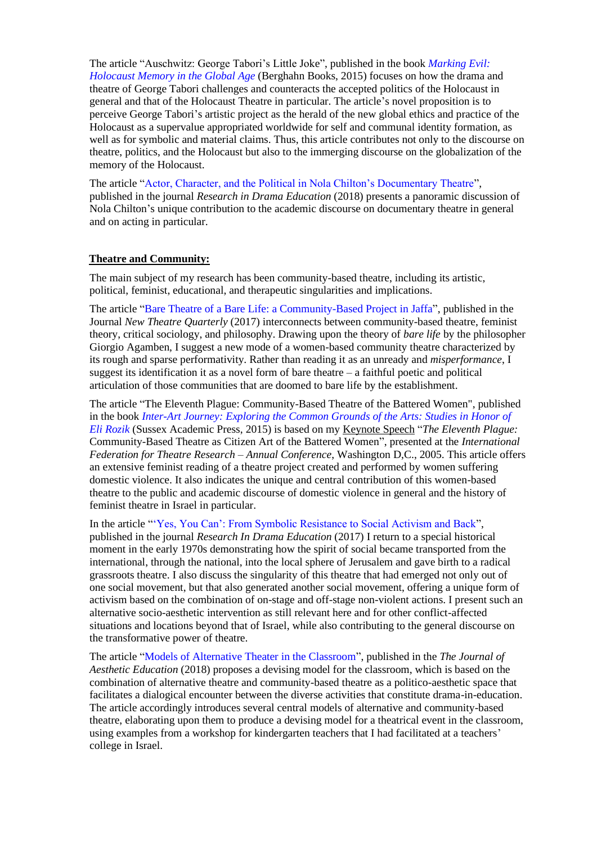The article "Auschwitz: George Tabori's Little Joke", published in the book *[Marking Evil:](https://www.vanleer.org.il/en/publications/marking-evil/)  [Holocaust Memory in the Global Age](https://www.vanleer.org.il/en/publications/marking-evil/)* (Berghahn Books, 2015) focuses on how the drama and theatre of George Tabori challenges and counteracts the accepted politics of the Holocaust in general and that of the Holocaust Theatre in particular. The article's novel proposition is to perceive George Tabori's artistic project as the herald of the new global ethics and practice of the Holocaust as a supervalue appropriated worldwide for self and communal identity formation, as well as for symbolic and material claims. Thus, this article contributes not only to the discourse on theatre, politics, and the Holocaust but also to the immerging discourse on the globalization of the memory of the Holocaust.

The article ["Actor, Character, and the Political in Nola Chilton's Documentary Theatre"](https://doi.org/10.1080/13569783.2018.1494559), published in the journal *Research in Drama Education* (2018) presents a panoramic discussion of Nola Chilton's unique contribution to the academic discourse on documentary theatre in general and on acting in particular.

#### **Theatre and Community:**

The main subject of my research has been community-based theatre, including its artistic, political, feminist, educational, and therapeutic singularities and implications.

The article ["Bare Theatre of a Bare Life: a Community-Based Project in Jaffa"](https://doi.org/10.1017/S0266464X17000033), published in the Journal *New Theatre Quarterly* (2017) interconnects between community-based theatre, feminist theory, critical sociology, and philosophy. Drawing upon the theory of *bare life* by the philosopher Giorgio Agamben, I suggest a new mode of a women-based community theatre characterized by its rough and sparse performativity. Rather than reading it as an unready and *misperformance*, I suggest its identification it as a novel form of bare theatre – a faithful poetic and political articulation of those communities that are doomed to bare life by the establishment.

The article "The Eleventh Plague: Community-Based Theatre of the Battered Women", published in the book *[Inter-Art Journey: Exploring the Common Grounds of the Arts: Studies in Honor of](http://www.sussex-academic.com/sa/titles/theatre_drama/Yaari.htm)  [Eli Rozik](http://www.sussex-academic.com/sa/titles/theatre_drama/Yaari.htm)* (Sussex Academic Press, 2015) is based on my Keynote Speech "*The Eleventh Plague:* Community-Based Theatre as Citizen Art of the Battered Women", presented at the *International Federation for Theatre Research – Annual Conference*, Washington D,C., 2005. This article offers an extensive feminist reading of a theatre project created and performed by women suffering domestic violence. It also indicates the unique and central contribution of this women-based theatre to the public and academic discourse of domestic violence in general and the history of feminist theatre in Israel in particular.

In the article ["'Yes, You Can': From Symbolic Resistance to Social Activism and Back"](https://doi.org/10.1080/13569783.2017.1286976), published in the journal *Research In Drama Education* (2017) I return to a special historical moment in the early 1970s demonstrating how the spirit of social became transported from the international, through the national, into the local sphere of Jerusalem and gave birth to a radical grassroots theatre. I also discuss the singularity of this theatre that had emerged not only out of one social movement, but that also generated another social movement, offering a unique form of activism based on the combination of on-stage and off-stage non-violent actions. I present such an alternative socio-aesthetic intervention as still relevant here and for other conflict-affected situations and locations beyond that of Israel, while also contributing to the general discourse on the transformative power of theatre.

The article ["Models of Alternative Theater in the Classroom"](https://muse.jhu.edu/article/700020), published in the *The Journal of Aesthetic Education* (2018) proposes a devising model for the classroom, which is based on the combination of alternative theatre and community-based theatre as a politico-aesthetic space that facilitates a dialogical encounter between the diverse activities that constitute drama-in-education. The article accordingly introduces several central models of alternative and community-based theatre, elaborating upon them to produce a devising model for a theatrical event in the classroom, using examples from a workshop for kindergarten teachers that I had facilitated at a teachers' college in Israel.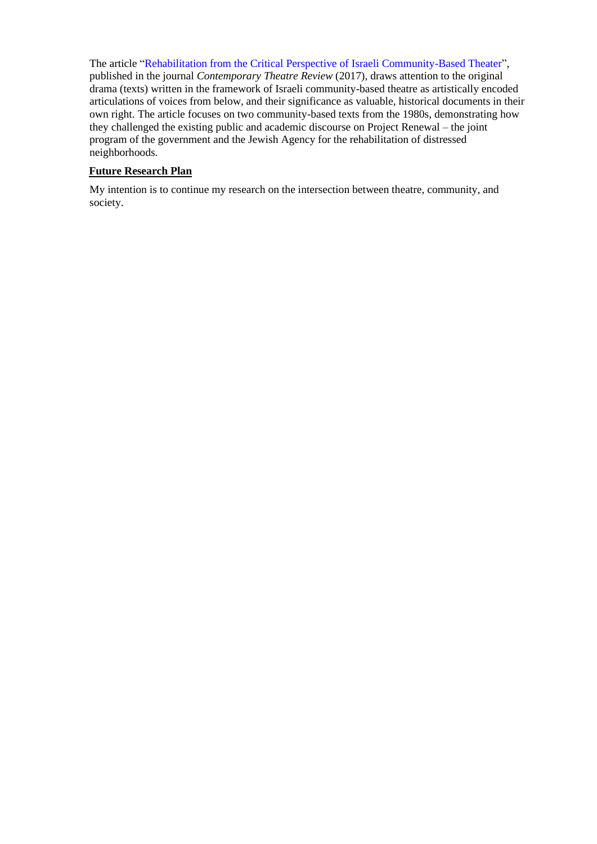The article ["Rehabilitation from the Critical Perspective of Israeli Community-Based Theater"](https://doi.org/10.1080/10486801.2017.1366472), published in the journal *Contemporary Theatre Review* (2017), draws attention to the original drama (texts) written in the framework of Israeli community-based theatre as artistically encoded articulations of voices from below, and their significance as valuable, historical documents in their own right. The article focuses on two community-based texts from the 1980s, demonstrating how they challenged the existing public and academic discourse on Project Renewal – the joint program of the government and the Jewish Agency for the rehabilitation of distressed neighborhoods.

## **Future Research Plan**

My intention is to continue my research on the intersection between theatre, community, and society.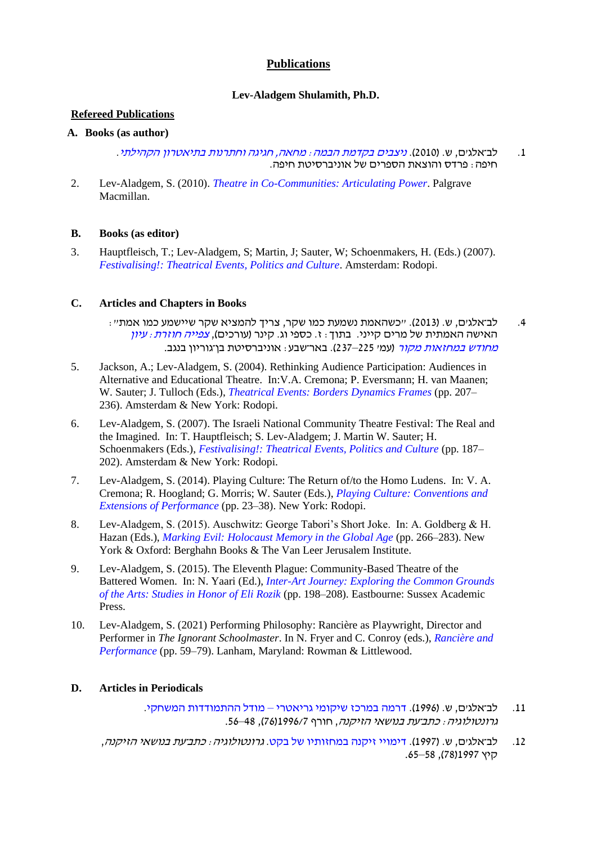## **Publications**

#### **Lev-Aladgem Shulamith, Ph.D.**

## **Refereed Publications**

#### **A. Books (as author)**

.1 לב־אלג׳ם, ש. )2010(. [ניצבים בקדמת הבמה: מחאה, חגיגה וחתרנות בתיאטרון הקהילתי](https://www.pardes.co.il/?id=showbook&catnum=965-311-071-3). חיפה: פרדס והוצאת הספרים של אוניברסיטת חיפה.

2. Lev-Aladgem, S. (2010). *[Theatre in Co-Communities: Articulating Power](https://www.palgrave.com/gp/book/9780230555198)*. Palgrave Macmillan.

### **B. Books (as editor)**

3. Hauptfleisch, T.; Lev-Aladgem, S; Martin, J; Sauter, W; Schoenmakers, H. (Eds.) (2007). *[Festivalising!: Theatrical Events, Politics and Culture](https://brill.com/view/title/31036), Amsterdam: Rodopi.* 

## **C. Articles and Chapters in Books**

- .4 לב־אלג׳ם, ש. )2013(. ״כשהאמת נשמעת כמו שקר, צריך להמציא שקר שיישמע כמו אמת״: האישה האמתית של מרים קייני. בתוך : ז. כספי וג. קינר (עורכים), *צפייה חוזרת : עיון* [מחודש במחזאות מקור](https://www.bialik-publishing.co.il/index.php?dir=site&page=catalog&op=item&cs=1633) )עמ׳ 225–237(. באר־שבע: אוניברסיטת בן־גוריון בנגב.
- 5. Jackson, A.; Lev-Aladgem, S. (2004). Rethinking Audience Participation: Audiences in Alternative and Educational Theatre. In:V.A. Cremona; P. Eversmann; H. van Maanen; W. Sauter; J. Tulloch (Eds.), *[Theatrical Events: Borders Dynamics Frames](https://brill.com/view/title/31034)* (pp. 207– 236). Amsterdam & New York: Rodopi.
- 6. Lev-Aladgem, S. (2007). The Israeli National Community Theatre Festival: The Real and the Imagined. In: T. Hauptfleisch; S. Lev-Aladgem; J. Martin W. Sauter; H. Schoenmakers (Eds.), *[Festivalising!: Theatrical Events, Politics and Culture](https://brill.com/view/title/31036)* (pp. 187– 202). Amsterdam & New York: Rodopi.
- 7. Lev-Aladgem, S. (2014). Playing Culture: The Return of/to the Homo Ludens. In: V. A. Cremona; R. Hoogland; G. Morris; W. Sauter (Eds.), *[Playing Culture: Conventions and](https://brill.com/view/title/31041)  [Extensions of Performance](https://brill.com/view/title/31041)* (pp. 23–38). New York: Rodopi.
- 8. Lev-Aladgem, S. (2015). Auschwitz: George Tabori's Short Joke. In: A. Goldberg & H. Hazan (Eds.), *[Marking Evil: Holocaust Memory in the Global Age](https://www.vanleer.org.il/en/publications/marking-evil/)* (pp. 266–283). New York & Oxford: Berghahn Books & The Van Leer Jerusalem Institute.
- 9. Lev-Aladgem, S. (2015). The Eleventh Plague: Community-Based Theatre of the Battered Women. In: N. Yaari (Ed.), *[Inter-Art Journey: Exploring the Common Grounds](http://www.sussex-academic.com/sa/titles/theatre_drama/Yaari.htm)  [of the Arts: Studies in Honor of Eli Rozik](http://www.sussex-academic.com/sa/titles/theatre_drama/Yaari.htm)* (pp. 198–208). Eastbourne: Sussex Academic Press.
- 10. Lev-Aladgem, S. (2021) Performing Philosophy: Rancière as Playwright, Director and Performer in *The Ignorant Schoolmaster*. In N. Fryer and C. Conroy (eds.), *[Rancière and](https://rowman.com/ISBN/9781538146576/)  [Performance](https://rowman.com/ISBN/9781538146576/)* (pp. 59–79). Lanham, Maryland: Rowman & Littlewood.

#### **D. Articles in Periodicals**

.11 לב־אלג׳ם, ש. )1996(. [דרמה במרכז שיקומי גריאטרי –](https://www.jstor.org/stable/23482174) מודל ההתמודדות המשחקי. גרונטולוגיה: כתב־עת בנושאי הזיקנה, חורף 1996/7)76(, 48–.56

.12 לב־אלג׳ם, ש. )1997(. [דימויי זיקנה במחזותיו של בקט.](https://www.jstor.org/stable/23482306) גרונטולוגיה: כתב־עת בנושאי הזיקנה, קיץ 1997)78(, 58–.65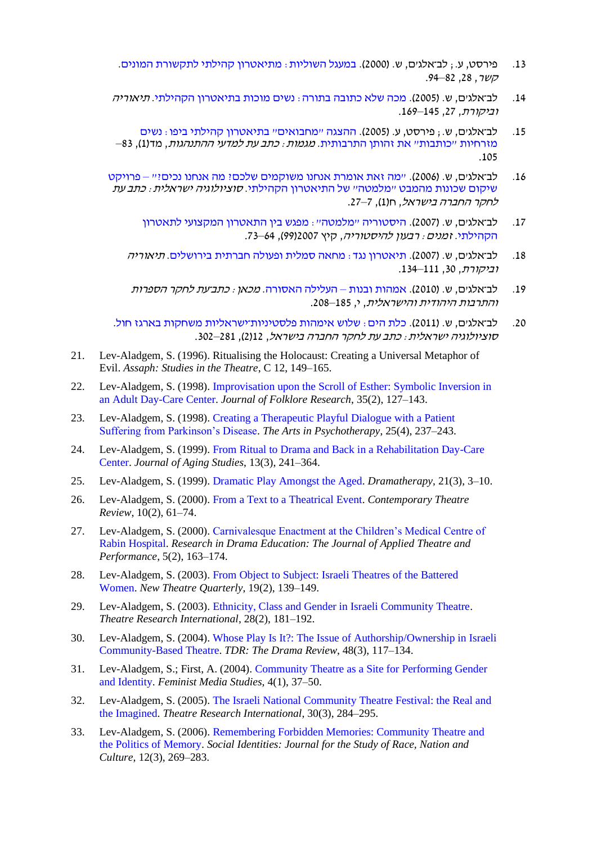- .13 פירסט, ע.; לב־אלג׳ם, ש. )2000(. [במעגל השוליות: מתיאטרון קהילתי לתקשורת המונים.](https://www.jstor.org/stable/23916360) קשר, ,28 82– .94
- .14 לב־אלג׳ם, ש. )2005(. [מכה שלא כתובה בתורה: נשים מוכות בתיאטרון הקהילתי.](https://theory-and-criticism.vanleer.org.il/product/מכה-שלא-כתובה-בתורה-נשים-מוכות-בתיאטרו) תיאוריה וביקורת, ,27 145–.169
- .15 לב־אלג׳ם, ש.; פירסט, ע. )2005(. [ההצגה ״מחבואים״ בתיאטרון קהילתי ביפו: נשים](https://www.jstor.org/stable/23658383)  מזרחיות ״כותבות״ [את זהותן התרבותית.](https://www.jstor.org/stable/23658383) מגמות: כתב עת למדעי ההתנהגות, מד)1(, 83– .105
- .16 לב־אלג׳ם, ש. )2006(. [״מה זאת אומרת אנחנו משוקמים שלכם? מה אנחנו נכים?״ –](https://www.jstor.org/stable/23441994) פרויקט [שיקום שכונות מהמבט ״מלמטה״ של התיאטרון הקהילתי.](https://www.jstor.org/stable/23441994) סוציולוגיה ישראלית: כתב עת לחקר החברה בישראל, ח(1), 7–27.
	- .17 לב־אלג׳ם, ש. )2007(. [היסטוריה ״מלמטה״: מפגש בין התאטרון המקצועי לתאטרון](https://www.jstor.org/stable/23443769)  [הקהילתי.](https://www.jstor.org/stable/23443769) זמנים: רבעון להיסטוריה, קיץ 2007)99(, 64– .73
	- .18 לב־אלג׳ם, ש. )2007(. [תיאטרון נגד: מחאה סמלית ופעולה חברתית בירושלים.](https://theory-and-criticism.vanleer.org.il/product/תיאטרון-נגד-מחאה-סמלית-ופעולה-חברתית-ב) תיאוריה וביקורת, ,30 111–.134
	- 19. לב־אלגים, ש. (2010). אמהות ובנות [העלילה האסורה.](https://library.osu.edu/projects/hebrew-lexicon/99995-files/99995095/99995095-010/99995095-010-185-208.pdf) *מכאן: כתב־עת לחקר הספרות* והתרבות היהודית והישראלית, י, 185–.208
- .20 לב־אלג׳ם, ש. )2011(. [כלת הים: שלוש אימהות פלסטיניות־ישראליות משחקות בארגז חול.](https://www.jstor.org/stable/23442802) סוציולוגיה ישראלית: כתב עת לחקר החברה בישראל, 12)2(, 281– .302
- 21. Lev-Aladgem, S. (1996). Ritualising the Holocaust: Creating a Universal Metaphor of Evil. *Assaph: Studies in the Theatre*, C 12, 149–165.
- 22. Lev-Aladgem, S. (1998). [Improvisation upon the Scroll of Esther: Symbolic Inversion in](https://www.jstor.org/stable/3814752)  [an Adult Day-Care Center.](https://www.jstor.org/stable/3814752) *Journal of Folklore Research*, 35(2), 127–143.
- 23. Lev-Aladgem, S. (1998). [Creating a Therapeutic Playful Dialogue](https://www.sciencedirect.com/science/article/pii/S0197455698000288) with a Patient [Suffering from Parkinson's Disease.](https://www.sciencedirect.com/science/article/pii/S0197455698000288) *The Arts in Psychotherapy*, 25(4), 237–243.
- 24. Lev-Aladgem, S. (1999). [From Ritual to Drama and Back in a Rehabilitation Day-Care](https://www.sciencedirect.com/science/article/pii/S0890406599800991)  [Center.](https://www.sciencedirect.com/science/article/pii/S0890406599800991) *Journal of Aging Studies*, 13(3), 241–364.
- 25. Lev-Aladgem, S. (1999). [Dramatic Play Amongst the Aged.](https://doi.org/10.1080%2F02630672.1999-2000.9689522) *Dramatherapy*, 21(3), 3–10.
- 26. Lev-Aladgem, S. (2000). [From a Text to a Theatrical Event.](https://doi.org/10.1080/10486800008568586) *Contemporary Theatre Review*, 10(2), 61–74.
- 27. Lev-Aladgem, S. (2000). [Carnivalesque Enactment at the Children's Medical Centre of](https://doi.org/10.1080/713692882)  [Rabin Hospital.](https://doi.org/10.1080/713692882) *Research in Drama Education: The Journal of Applied Theatre and Performance*, 5(2), 163–174.
- 28. Lev-Aladgem, S. (2003). [From Object to Subject: Israeli Theatres of the Battered](https://doi.org/10.1017/S0266464X03000058)  [Women.](https://doi.org/10.1017/S0266464X03000058) *New Theatre Quarterly*, 19(2), 139–149.
- 29. Lev-Aladgem, S. (2003). [Ethnicity, Class and Gender in Israeli Community Theatre.](https://doi.org/10.1017/S0307883303001056) *Theatre Research International*, 28(2), 181–192.
- 30. Lev-Aladgem, S. (2004). [Whose Play Is It?: The Issue of Authorship/Ownership in Israeli](https://www.jstor.org/stable/4488575)  [Community-Based Theatre.](https://www.jstor.org/stable/4488575) *TDR: The Drama Review*, 48(3), 117–134.
- 31. Lev-Aladgem, S.; First, A. (2004). [Community Theatre as a Site for Performing Gender](https://doi.org/10.1080/14680770410001674635)  [and Identity.](https://doi.org/10.1080/14680770410001674635) *Feminist Media Studies*, 4(1), 37–50.
- 32. Lev-Aladgem, S. (2005). [The Israeli National Community Theatre Festival: the Real and](https://doi.org/10.1017/S0307883305001537)  [the Imagined.](https://doi.org/10.1017/S0307883305001537) *Theatre Research International*, 30(3), 284–295.
- 33. Lev-Aladgem, S. (2006). [Remembering Forbidden Memories: Community Theatre and](https://doi.org/10.1080/13504630600744112)  [the Politics of Memory.](https://doi.org/10.1080/13504630600744112) *Social Identities: Journal for the Study of Race, Nation and Culture*, 12(3), 269–283.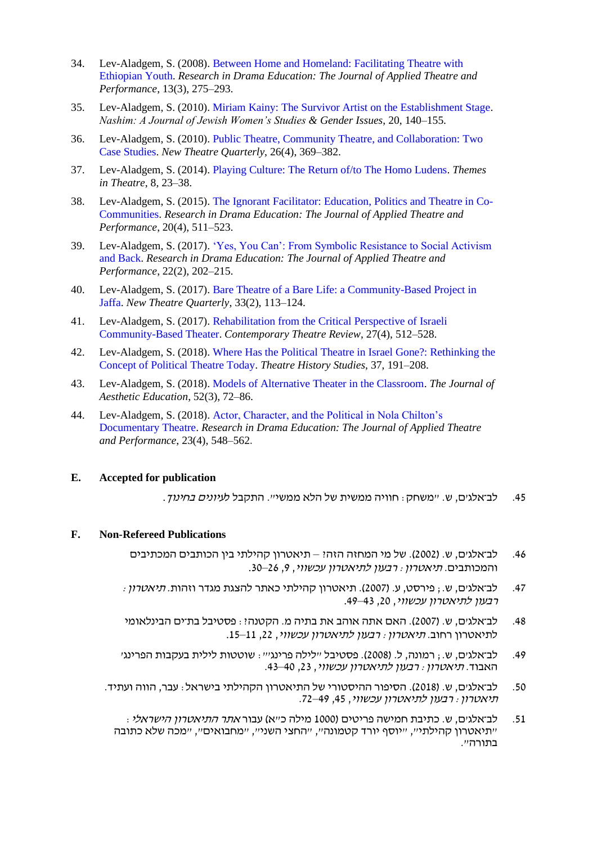- 34. Lev-Aladgem, S. (2008). [Between Home and Homeland: Facilitating Theatre with](https://doi.org/10.1080/13569780802410632)  [Ethiopian Youth.](https://doi.org/10.1080/13569780802410632) *Research in Drama Education: The Journal of Applied Theatre and Performance*, 13(3), 275–293.
- 35. Lev-Aladgem, S. (2010). [Miriam Kainy: The Survivor Artist on the Establishment Stage.](https://muse.jhu.edu/article/405075) *Nashim: A Journal of Jewish Women's Studies & Gender Issues*, 20, 140–155.
- 36. Lev-Aladgem, S. (2010). [Public Theatre, Community Theatre, and Collaboration: Two](https://doi.org/10.1017/S0266464X10000679)  [Case Studies.](https://doi.org/10.1017/S0266464X10000679) *New Theatre Quarterly*, 26(4), 369–382.
- 37. Lev-Aladgem, S. (2014). [Playing Culture: The Return of/to The Homo Ludens.](https://search.proquest.com/docview/1518639988) *Themes in Theatre*, 8, 23–38.
- 38. Lev-Aladgem, S. (2015). [The Ignorant Facilitator: Education, Politics and Theatre in Co-](https://doi.org/10.1080/13569783.2015.1068108)[Communities.](https://doi.org/10.1080/13569783.2015.1068108) *Research in Drama Education: The Journal of Applied Theatre and Performance*, 20(4), 511–523.
- 39. Lev-Aladgem, S. (2017). ['Yes, You Can': From Symbolic Resistance to Social Activism](https://doi.org/10.1080/13569783.2017.1286976)  [and Back.](https://doi.org/10.1080/13569783.2017.1286976) *Research in Drama Education: The Journal of Applied Theatre and Performance*, 22(2), 202–215.
- 40. Lev-Aladgem, S. (2017). [Bare Theatre of a Bare Life: a Community-Based Project in](https://doi.org/10.1017/S0266464X17000033)  [Jaffa.](https://doi.org/10.1017/S0266464X17000033) *New Theatre Quarterly*, 33(2), 113–124.
- 41. Lev-Aladgem, S. (2017). [Rehabilitation from the Critical Perspective of Israeli](https://doi.org/10.1080/10486801.2017.1366472)  [Community-Based Theater.](https://doi.org/10.1080/10486801.2017.1366472) *Contemporary Theatre Review*, 27(4), 512–528.
- 42. Lev-Aladgem, S. (2018). [Where Has the Political Theatre in Israel Gone?: Rethinking the](https://muse.jhu.edu/article/716851)  [Concept of Political Theatre Today.](https://muse.jhu.edu/article/716851) *Theatre History Studies*, 37, 191–208.
- 43. Lev-Aladgem, S. (2018). [Models of Alternative Theater in the Classroom.](https://muse.jhu.edu/article/700020) *The Journal of Aesthetic Education*, 52(3), 72–86.
- 44. Lev-Aladgem, S. (2018). [Actor, Character, and the Political in Nola Chilton's](https://doi.org/10.1080/13569783.2018.1494559)  [Documentary Theatre.](https://doi.org/10.1080/13569783.2018.1494559) *Research in Drama Education: The Journal of Applied Theatre and Performance*, 23(4), 548–562 .

#### **E. Accepted for publication**

45. לב־אלגים, ש. "משחק: חוויה ממשית של הלא ממשי". התקבל לעי*ונים בחינוך*.

#### **F. Non-Refereed Publications**

- .46 לב־אלג׳ם, ש. )2002(. של מי המחזה הזה? תיאטרון קהילתי בין הכותבים המכתיבים והמכותבים. תיאטרון: רבעון לתיאטרון עכשווי, ,9 26–.30
- .47 לב־אלג׳ם, ש.; פירסט, ע. (2007). תיאטרון קהילתי כאתר להצגת מגדר וזהות. *תיאטרון:* רבעון לתיאטרון עכשווי, ,20 43–.49
- .48 לב־אלג׳ם, ש. )2007(. האם אתה אוהב את בתיה מ. הקטנה?: פסטיבל בת־ים הבינלאומי לתיאטרון רחוב. תיאטרון: רבעון לתיאטרון עכשווי, ,22 11–.15
- .49 לב־אלג׳ם, ש.; רמונה, ל. )2008(. פסטיבל ״לילה פרינג׳״: שוטטות לילית בעקבות הפרינג׳ האבוד. תיאטרון: רבעון לתיאטרון עכשווי, ,23 40–.43
- .50 לב־אלג׳ם, ש. )2018(. הסיפור ההיסטורי של התיאטרון הקהילתי בישראל: עבר, הווה ועתיד. תיאטרון: רבעון לתיאטרון עכשווי, ,45 49– .72
	- $\cdot$ : לב־אלגים. ש. כתיבת חמישה פריטים (1000 מילה כ״א) עבור *אתר התיאטרוו הישראלי* ( ״תיאטרון קהילתי״, ״יוסף יורד קטמונה״, ״החצי השני״, ״מחבואים״, ״מכה שלא כתובה בתורה״.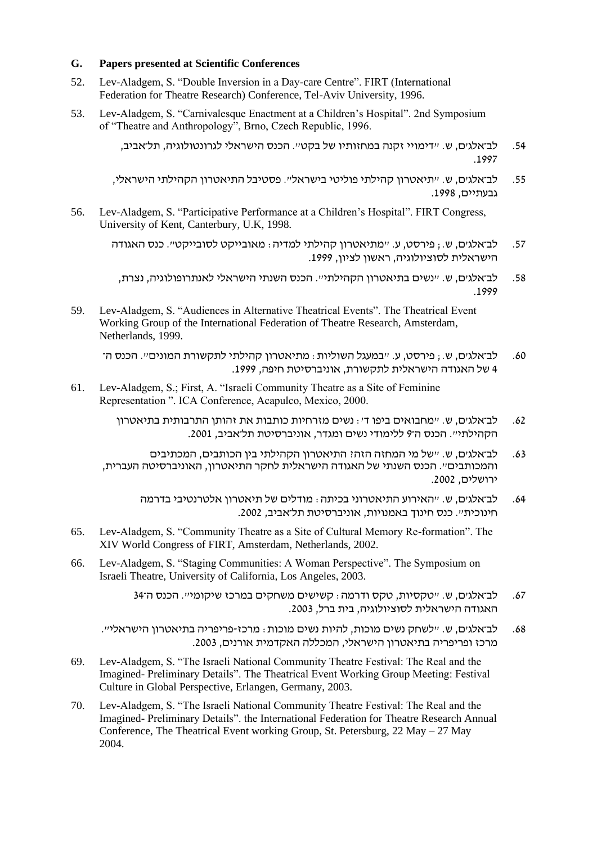#### **G. Papers presented at Scientific Conferences**

- 52. Lev-Aladgem, S. "Double Inversion in a Day-care Centre". FIRT (International Federation for Theatre Research) Conference, Tel-Aviv University, 1996.
- 53. Lev-Aladgem, S. "Carnivalesque Enactment at a Children's Hospital". 2nd Symposium of "Theatre and Anthropology", Brno, Czech Republic, 1996.
	- .54 לב־אלג׳ם, ש. ״דימויי זקנה במחזותיו של בקט״. הכנס הישראלי לגרונטולוגיה, תל־אביב, .1997
	- .55 לב־אלג׳ם, ש. ״תיאטרון קהילתי פוליטי בישראל״. פסטיבל התיאטרון הקהילתי הישראלי, גבעתיים, .1998
- 56. Lev-Aladgem, S. "Participative Performance at a Children's Hospital". FIRT Congress, University of Kent, Canterbury, U.K, 1998.

.57 לב־אלג׳ם, ש.; פירסט, ע. ״מתיאטרון קהילתי למדיה: מאובייקט לסובייקט״. כנס האגודה הישראלית לסוציולוגיה, ראשון לציון, .1999

- .58 לב־אלג׳ם, ש. ״נשים בתיאטרון הקהילתי״. הכנס השנתי הישראלי לאנתרופולוגיה, נצרת, .1999
- 59. Lev-Aladgem, S. "Audiences in Alternative Theatrical Events". The Theatrical Event Working Group of the International Federation of Theatre Research, Amsterdam, Netherlands, 1999.

.60 לב־אלג׳ם, ש.; פירסט, ע. ״במעגל השוליות: מתיאטרון קהילתי לתקשורת המונים״. הכנס ה־ 4 של האגודה הישראלית לתקשורת, אוניברסיטת חיפה, .1999

- 61. Lev-Aladgem, S.; First, A. "Israeli Community Theatre as a Site of Feminine Representation ". ICA Conference, Acapulco, Mexico, 2000.
	- .62 לב־אלג׳ם, ש. ״מחבואים ביפו ד׳: נשים מזרחיות כותבות את זהותן התרבותית בתיאטרון הקהילתי״. הכנס ה־9 ללימודי נשים ומגדר, אוניברסיטת תל־אביב, .2001
	- .63 לב־אלג׳ם, ש. ״של מי המחזה הזה? התיאטרון הקהילתי בין הכותבים, המכתיבים והמכותבים״. הכנס השנתי של האגודה הישראלית לחקר התיאטרון, האוניברסיטה העברית, ירושלים, .2002
		- .64 לב־אלג׳ם, ש. ״האירוע התיאטרוני בכיתה: מודלים של תיאטרון אלטרנטיבי בדרמה חינוכית״. כנס חינוך באמנויות, אוניברסיטת תל־אביב, .2002
- 65. Lev-Aladgem, S. "Community Theatre as a Site of Cultural Memory Re-formation". The XIV World Congress of FIRT, Amsterdam, Netherlands, 2002.
- 66. Lev-Aladgem, S. "Staging Communities: A Woman Perspective". The Symposium on Israeli Theatre, University of California, Los Angeles, 2003.
	- .67 לב־אלג׳ם, ש. ״טקסיות, טקס ודרמה: קשישים משחקים במרכז שיקומי״. הכנס ה־ 34 האגודה הישראלית לסוציולוגיה, בית ברל, .2003
	- .68 לב־אלג׳ם, ש. ״לשחק נשים מוכות, להיות נשים מוכות: מרכז-פריפריה בתיאטרון הישראלי״. מרכז ופריפריה בתיאטרון הישראלי, המכללה האקדמית אורנים, .2003
- 69. Lev-Aladgem, S. "The Israeli National Community Theatre Festival: The Real and the Imagined- Preliminary Details". The Theatrical Event Working Group Meeting: Festival Culture in Global Perspective, Erlangen, Germany, 2003.
- 70. Lev-Aladgem, S. "The Israeli National Community Theatre Festival: The Real and the Imagined- Preliminary Details". the International Federation for Theatre Research Annual Conference, The Theatrical Event working Group, St. Petersburg, 22 May – 27 May 2004.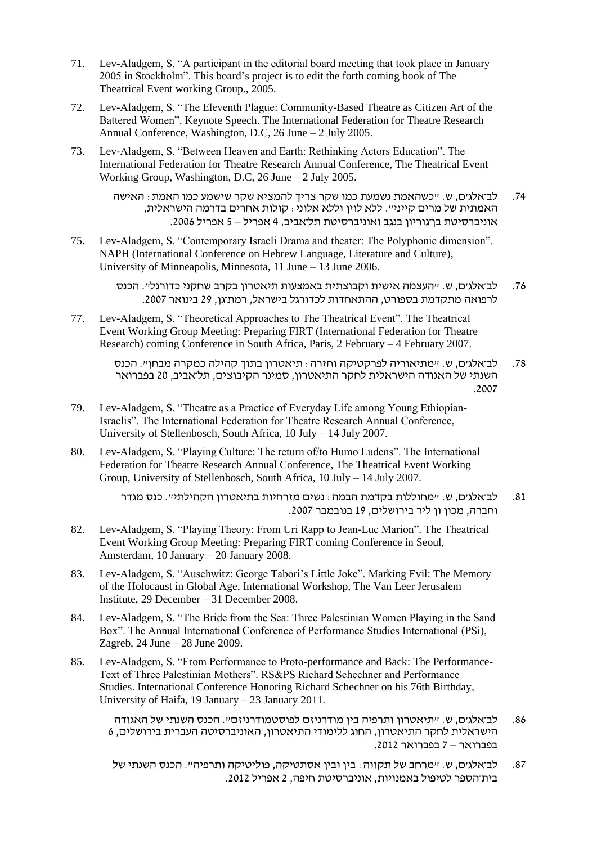- 71. Lev-Aladgem, S. "A participant in the editorial board meeting that took place in January 2005 in Stockholm". This board's project is to edit the forth coming book of The Theatrical Event working Group., 2005.
- 72. Lev-Aladgem, S. "The Eleventh Plague: Community-Based Theatre as Citizen Art of the Battered Women". Keynote Speech. The International Federation for Theatre Research Annual Conference, Washington, D.C, 26 June – 2 July 2005.
- 73. Lev-Aladgem, S. "Between Heaven and Earth: Rethinking Actors Education". The International Federation for Theatre Research Annual Conference, The Theatrical Event Working Group, Washington, D.C, 26 June – 2 July 2005.

.74 לב־אלג׳ם, ש. ״כשהאמת נשמעת כמו שקר צריך להמציא שקר שישמע כמו האמת: האישה האמתית של מרים קייני״. ללא לוין וללא אלוני: קולות אחרים בדרמה הישראלית, אוניברסיטת בן־גוריון בנגב ואוניברסיטת תל־אביב, 4 אפריל – 5 אפריל .2006

75. Lev-Aladgem, S. "Contemporary Israeli Drama and theater: The Polyphonic dimension". NAPH (International Conference on Hebrew Language, Literature and Culture), University of Minneapolis, Minnesota, 11 June – 13 June 2006.

> .76 לב־אלג׳ם, ש. ״העצמה אישית וקבוצתית באמצעות תיאטרון בקרב שחקני כדורגל״. הכנס לרפואה מתקדמת בספורט, ההתאחדות לכדורגל בישראל, רמת־גן, 29 בינואר .2007

77. Lev-Aladgem, S. "Theoretical Approaches to The Theatrical Event". The Theatrical Event Working Group Meeting: Preparing FIRT (International Federation for Theatre Research) coming Conference in South Africa, Paris, 2 February – 4 February 2007.

> .78 לב־אלג׳ם, ש. ״מתיאוריה לפרקטיקה וחזרה: תיאטרון בתוך קהילה כמקרה מבחן״. הכנס השנתי של האגודה הישראלית לחקר התיאטרון, סמינר הקיבוצים, תל־אביב, 20 בפברואר .2007

- 79. Lev-Aladgem, S. "Theatre as a Practice of Everyday Life among Young Ethiopian-Israelis". The International Federation for Theatre Research Annual Conference, University of Stellenbosch, South Africa, 10 July – 14 July 2007.
- 80. Lev-Aladgem, S. "Playing Culture: The return of/to Humo Ludens". The International Federation for Theatre Research Annual Conference, The Theatrical Event Working Group, University of Stellenbosch, South Africa, 10 July – 14 July 2007.

.81 לב־אלג׳ם, ש. ״מחוללות בקדמת הבמה: נשים מזרחיות בתיאטרון הקהילתי״. כנס מגדר וחברה, מכון ון ליר בירושלים, 19 בנובמבר .2007

- 82. Lev-Aladgem, S. "Playing Theory: From Uri Rapp to Jean-Luc Marion". The Theatrical Event Working Group Meeting: Preparing FIRT coming Conference in Seoul, Amsterdam, 10 January – 20 January 2008.
- 83. Lev-Aladgem, S. "Auschwitz: George Tabori's Little Joke". Marking Evil: The Memory of the Holocaust in Global Age, International Workshop, The Van Leer Jerusalem Institute, 29 December – 31 December 2008.
- 84. Lev-Aladgem, S. "The Bride from the Sea: Three Palestinian Women Playing in the Sand Box". The Annual International Conference of Performance Studies International (PSi), Zagreb, 24 June – 28 June 2009.
- 85. Lev-Aladgem, S. "From Performance to Proto-performance and Back: The Performance-Text of Three Palestinian Mothers". RS&PS Richard Schechner and Performance Studies. International Conference Honoring Richard Schechner on his 76th Birthday, University of Haifa, 19 January – 23 January 2011.

.86 לב־אלג׳ם, ש. ״תיאטרון ותרפיה בין מודרניזם לפוסטמודרניזם״. הכנס השנתי של האגודה הישראלית לחקר התיאטרון , החוג ללימודי התיאטרון, האוניברסיטה העברית בירושלים, 6 בפברואר – 7 בפברואר .2012

.87 לב־אלג׳ם, ש. ״מרחב של תקווה: בין ובין אסתטיקה, פוליטיקה ותרפיה״. הכנס השנתי של בית־הספר לטיפול באמנויות , אוניברסיטת חיפה, 2 אפריל .2012